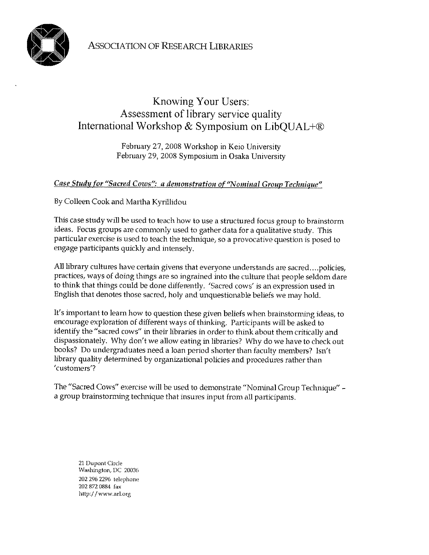

## Knowing Your Users: Assessment of library service quality International Workshop & Symposium on LibQUAL+®

February 27, 2008 Workshop in Keio University February 29, 2008 Symposium in Osaka University

## Case Study for "Sacred Cows": a demonstration of "Nominal Group Technique"

By Colleen Cook and Martha Kyrillidou

This case study will be used to teach how to use a structured focus group to brainstorm ideas. Focus groups are commonly used to gather data for a qualitative study. This particular exercise is used to teach the technique, so a provocative question is posed to engage participants quickly and intensely.

All library cultures have certain givens that everyone understands are sacred....policies, practices, ways of doing things are so ingrained into the culture that people seldom dare to think that things could be done differently. 'Sacred cows' is an expression used in English that denotes those sacred, holy and unquestionable beliefs we may hold.

It's important to learn how to question these given beliefs when brainstorming ideas, to encourage exploration of different ways of thinking. Participants will be asked to identify the "sacred cows" in their libraries in order to think about them critically and dispassionately. Why don't we allow eating in libraries? Why do we have to check out books? Do undergraduates need a loan period shorter than faculty members? Isn't library quality determined by organizational policies and procedures rather than 'customers'?

The "Sacred Cows" exercise will be used to demonstrate "Nominal Group Technique" a group brainstorming technique that insures input from all participants.

21 Dupont Circle Washington, DC 20036 202 296 2296 telephone 202 872 0884 fax http://www.arl.org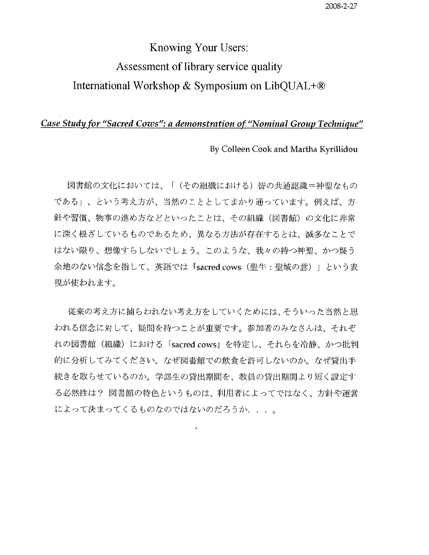## Knowing Your Users: Assessment of library service quality International Workshop & Symposium on LibOUAL+®

## Case Study for "Sacred Cows": a demonstration of "Nominal Group Technique"

By Colleen Cook and Martha Kyrillidou

図書館の文化においては、「(その組織における)皆の共通認識=神聖なもの である」、という考え方が、当然のこととしてまかり通っています。例えば、方 針や習慣、物事の進め方などといったことは、その組織(図書館)の文化に非常 に深く根ざしているものであるため、異なる方法が存在するとは、滅多なことで はない限り、想像すらしないでしょう。このような、我々の持つ神聖、かつ疑う 余地のない信念を指して、英語では「sacred cows (聖牛:聖域の意)」という表 現が使われます。

従来の考え方に捕らわれない考え方をしていくためには、そういった当然と思 われる信念に対して、疑問を持つことが重要です。参加者のみなさんは、それぞ れの図書館 (組織) における「sacred cows」を特定し、それらを冷静、かつ批判 的に分析してみてください。なぜ図書館での飲食を許可しないのか。なぜ貸出手 続きを取らせているのか。学部生の貸出期間を、教員の貸出期間より短く設定す る必然性は? 図書館の特色というものは、利用者によってではなく、方針や運営 によって決まってくるものなのではないのだろうか...。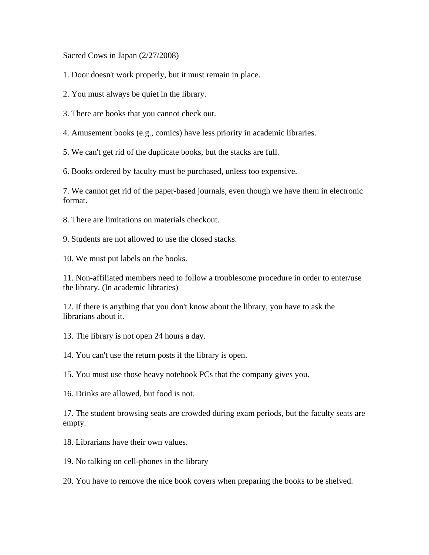Sacred Cows in Japan (2/27/2008)

1. Door doesn't work properly, but it must remain in place.

2. You must always be quiet in the library.

3. There are books that you cannot check out.

4. Amusement books (e.g., comics) have less priority in academic libraries.

5. We can't get rid of the duplicate books, but the stacks are full.

6. Books ordered by faculty must be purchased, unless too expensive.

7. We cannot get rid of the paper-based journals, even though we have them in electronic format.

8. There are limitations on materials checkout.

9. Students are not allowed to use the closed stacks.

10. We must put labels on the books.

11. Non-affiliated members need to follow a troublesome procedure in order to enter/use the library. (In academic libraries)

12. If there is anything that you don't know about the library, you have to ask the librarians about it.

13. The library is not open 24 hours a day.

14. You can't use the return posts if the library is open.

15. You must use those heavy notebook PCs that the company gives you.

16. Drinks are allowed, but food is not.

17. The student browsing seats are crowded during exam periods, but the faculty seats are empty.

18. Librarians have their own values.

19. No talking on cell-phones in the library

20. You have to remove the nice book covers when preparing the books to be shelved.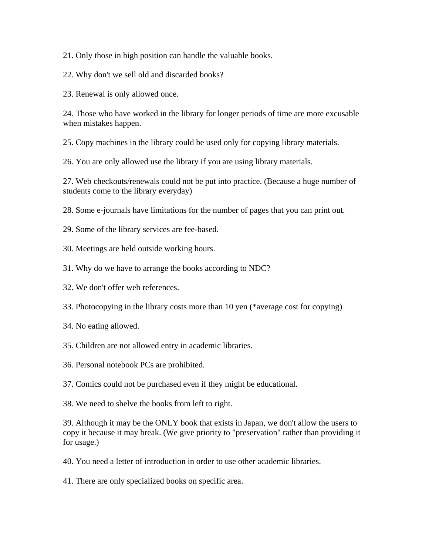21. Only those in high position can handle the valuable books.

22. Why don't we sell old and discarded books?

23. Renewal is only allowed once.

24. Those who have worked in the library for longer periods of time are more excusable when mistakes happen.

25. Copy machines in the library could be used only for copying library materials.

26. You are only allowed use the library if you are using library materials.

27. Web checkouts/renewals could not be put into practice. (Because a huge number of students come to the library everyday)

28. Some e-journals have limitations for the number of pages that you can print out.

- 29. Some of the library services are fee-based.
- 30. Meetings are held outside working hours.
- 31. Why do we have to arrange the books according to NDC?
- 32. We don't offer web references.
- 33. Photocopying in the library costs more than 10 yen (\*average cost for copying)
- 34. No eating allowed.
- 35. Children are not allowed entry in academic libraries.
- 36. Personal notebook PCs are prohibited.

37. Comics could not be purchased even if they might be educational.

38. We need to shelve the books from left to right.

39. Although it may be the ONLY book that exists in Japan, we don't allow the users to copy it because it may break. (We give priority to "preservation" rather than providing it for usage.)

- 40. You need a letter of introduction in order to use other academic libraries.
- 41. There are only specialized books on specific area.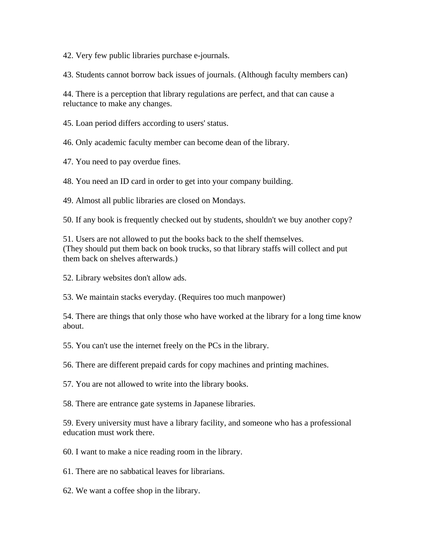42. Very few public libraries purchase e-journals.

43. Students cannot borrow back issues of journals. (Although faculty members can)

44. There is a perception that library regulations are perfect, and that can cause a reluctance to make any changes.

45. Loan period differs according to users' status.

46. Only academic faculty member can become dean of the library.

47. You need to pay overdue fines.

48. You need an ID card in order to get into your company building.

49. Almost all public libraries are closed on Mondays.

50. If any book is frequently checked out by students, shouldn't we buy another copy?

51. Users are not allowed to put the books back to the shelf themselves. (They should put them back on book trucks, so that library staffs will collect and put them back on shelves afterwards.)

52. Library websites don't allow ads.

53. We maintain stacks everyday. (Requires too much manpower)

54. There are things that only those who have worked at the library for a long time know about.

55. You can't use the internet freely on the PCs in the library.

56. There are different prepaid cards for copy machines and printing machines.

57. You are not allowed to write into the library books.

58. There are entrance gate systems in Japanese libraries.

59. Every university must have a library facility, and someone who has a professional education must work there.

60. I want to make a nice reading room in the library.

61. There are no sabbatical leaves for librarians.

62. We want a coffee shop in the library.